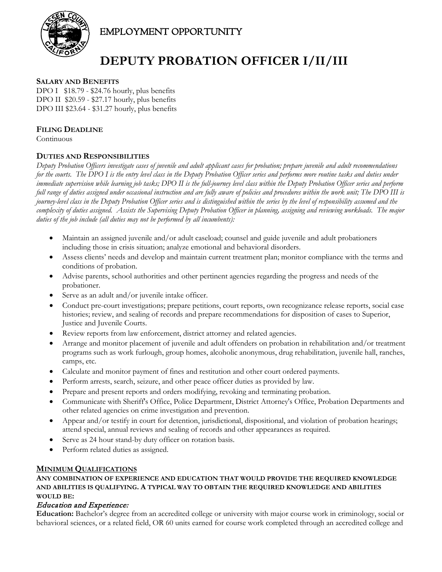

EMPLOYMENT OPPORTUNITY

# **DEPUTY PROBATION OFFICER I/II/III**

## **SALARY AND BENEFITS**

DPO I \$18.79 - \$24.76 hourly, plus benefits DPO II \$20.59 - \$27.17 hourly, plus benefits DPO III \$23.64 - \$31.27 hourly, plus benefits

## **FILING DEADLINE**

Continuous

## **DUTIES AND RESPONSIBILITIES**

*Deputy Probation Officers investigate cases of juvenile and adult applicant cases for probation; prepare juvenile and adult recommendations for the courts. The DPO I is the entry level class in the Deputy Probation Officer series and performs more routine tasks and duties under immediate supervision while learning job tasks; DPO II is the full-journey level class within the Deputy Probation Officer series and perform full range of duties assigned under occasional instruction and are fully aware of policies and procedures within the work unit; The DPO III is journey-level class in the Deputy Probation Officer series and is distinguished within the series by the level of responsibility assumed and the complexity of duties assigned. Assists the Supervising Deputy Probation Officer in planning, assigning and reviewing workloads. The major duties of the job include (all duties may not be performed by all incumbents):*

- Maintain an assigned juvenile and/or adult caseload; counsel and guide juvenile and adult probationers including those in crisis situation; analyze emotional and behavioral disorders.
- Assess clients' needs and develop and maintain current treatment plan; monitor compliance with the terms and conditions of probation.
- Advise parents, school authorities and other pertinent agencies regarding the progress and needs of the probationer.
- Serve as an adult and/or juvenile intake officer.
- Conduct pre-court investigations; prepare petitions, court reports, own recognizance release reports, social case histories; review, and sealing of records and prepare recommendations for disposition of cases to Superior, Justice and Juvenile Courts.
- Review reports from law enforcement, district attorney and related agencies.
- Arrange and monitor placement of juvenile and adult offenders on probation in rehabilitation and/or treatment programs such as work furlough, group homes, alcoholic anonymous, drug rehabilitation, juvenile hall, ranches, camps, etc.
- Calculate and monitor payment of fines and restitution and other court ordered payments.
- Perform arrests, search, seizure, and other peace officer duties as provided by law.
- Prepare and present reports and orders modifying, revoking and terminating probation.
- Communicate with Sheriff's Office, Police Department, District Attorney's Office, Probation Departments and other related agencies on crime investigation and prevention.
- Appear and/or testify in court for detention, jurisdictional, dispositional, and violation of probation hearings; attend special, annual reviews and sealing of records and other appearances as required.
- Serve as 24 hour stand-by duty officer on rotation basis.
- Perform related duties as assigned.

## **MINIMUM QUALIFICATIONS**

#### **ANY COMBINATION OF EXPERIENCE AND EDUCATION THAT WOULD PROVIDE THE REQUIRED KNOWLEDGE AND ABILITIES IS QUALIFYING. A TYPICAL WAY TO OBTAIN THE REQUIRED KNOWLEDGE AND ABILITIES WOULD BE:**

## Education and Experience:

**Education:** Bachelor's degree from an accredited college or university with major course work in criminology, social or behavioral sciences, or a related field, OR 60 units earned for course work completed through an accredited college and